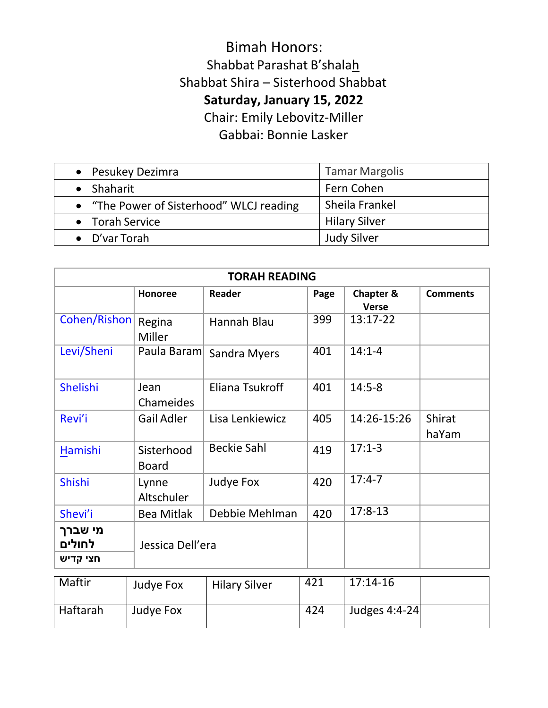## Bimah Honors: Shabbat Parashat B'shalah Shabbat Shira – Sisterhood Shabbat **Saturday, January 15, 2022** Chair: Emily Lebovitz-Miller

Gabbai: Bonnie Lasker

| • Pesukey Dezimra                        | <b>Tamar Margolis</b> |
|------------------------------------------|-----------------------|
| • Shaharit                               | Fern Cohen            |
| • "The Power of Sisterhood" WLCJ reading | Sheila Frankel        |
| • Torah Service                          | <b>Hilary Silver</b>  |
| $\bullet$ D'var Torah                    | <b>Judy Silver</b>    |

| <b>TORAH READING</b>          |                            |                      |      |                                      |                        |  |
|-------------------------------|----------------------------|----------------------|------|--------------------------------------|------------------------|--|
|                               | <b>Honoree</b>             | <b>Reader</b>        | Page | <b>Chapter &amp;</b><br><b>Verse</b> | <b>Comments</b>        |  |
| Cohen/Rishon                  | Regina<br>Miller           | Hannah Blau          | 399  | 13:17-22                             |                        |  |
| Levi/Sheni                    | Paula Baram                | <b>Sandra Myers</b>  | 401  | $14:1 - 4$                           |                        |  |
| Shelishi                      | Jean<br>Chameides          | Eliana Tsukroff      | 401  | $14:5-8$                             |                        |  |
| Revi'i                        | <b>Gail Adler</b>          | Lisa Lenkiewicz      | 405  | 14:26-15:26                          | <b>Shirat</b><br>haYam |  |
| Hamishi                       | Sisterhood<br><b>Board</b> | <b>Beckie Sahl</b>   | 419  | $17:1-3$                             |                        |  |
| Shishi                        | Lynne<br>Altschuler        | Judye Fox            | 420  | $17:4-7$                             |                        |  |
| Shevi'i                       | <b>Bea Mitlak</b>          | Debbie Mehlman       | 420  | $17:8-13$                            |                        |  |
| מי שברך<br>לחולים<br>חצי קדיש | Jessica Dell'era           |                      |      |                                      |                        |  |
| Maftir                        | Judye Fox                  | <b>Hilary Silver</b> | 421  | $17:14-16$                           |                        |  |
| <b>Haftarah</b>               | Judye Fox                  |                      | 424  | Judges 4:4-24                        |                        |  |